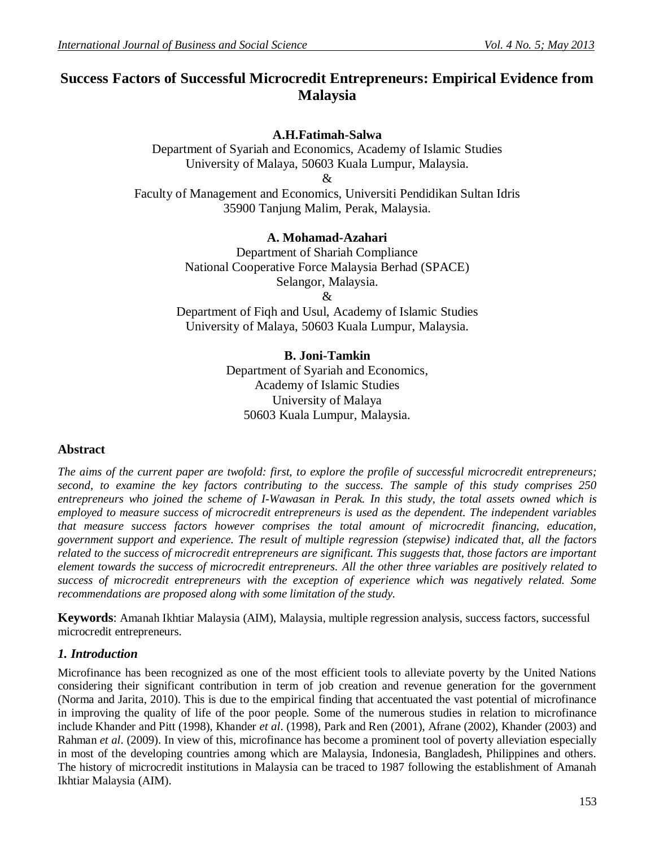# **Success Factors of Successful Microcredit Entrepreneurs: Empirical Evidence from Malaysia**

## **A.H.Fatimah-Salwa**

Department of Syariah and Economics, Academy of Islamic Studies University of Malaya, 50603 Kuala Lumpur, Malaysia. &

Faculty of Management and Economics, Universiti Pendidikan Sultan Idris 35900 Tanjung Malim, Perak, Malaysia.

### **A. Mohamad-Azahari**

Department of Shariah Compliance National Cooperative Force Malaysia Berhad (SPACE) Selangor, Malaysia. &

Department of Fiqh and Usul, Academy of Islamic Studies University of Malaya, 50603 Kuala Lumpur, Malaysia.

## **B. Joni-Tamkin**

Department of Syariah and Economics, Academy of Islamic Studies University of Malaya 50603 Kuala Lumpur, Malaysia.

## **Abstract**

*The aims of the current paper are twofold: first, to explore the profile of successful microcredit entrepreneurs; second, to examine the key factors contributing to the success. The sample of this study comprises 250 entrepreneurs who joined the scheme of I-Wawasan in Perak. In this study, the total assets owned which is employed to measure success of microcredit entrepreneurs is used as the dependent. The independent variables that measure success factors however comprises the total amount of microcredit financing, education, government support and experience. The result of multiple regression (stepwise) indicated that, all the factors related to the success of microcredit entrepreneurs are significant. This suggests that, those factors are important element towards the success of microcredit entrepreneurs. All the other three variables are positively related to success of microcredit entrepreneurs with the exception of experience which was negatively related. Some recommendations are proposed along with some limitation of the study.*

**Keywords**: Amanah Ikhtiar Malaysia (AIM), Malaysia, multiple regression analysis, success factors, successful microcredit entrepreneurs.

#### *1. Introduction*

Microfinance has been recognized as one of the most efficient tools to alleviate poverty by the United Nations considering their significant contribution in term of job creation and revenue generation for the government (Norma and Jarita, 2010). This is due to the empirical finding that accentuated the vast potential of microfinance in improving the quality of life of the poor people. Some of the numerous studies in relation to microfinance include Khander and Pitt (1998), Khander *et al*. (1998), Park and Ren (2001), Afrane (2002), Khander (2003) and Rahman *et al*. (2009). In view of this, microfinance has become a prominent tool of poverty alleviation especially in most of the developing countries among which are Malaysia, Indonesia, Bangladesh, Philippines and others. The history of microcredit institutions in Malaysia can be traced to 1987 following the establishment of Amanah Ikhtiar Malaysia (AIM).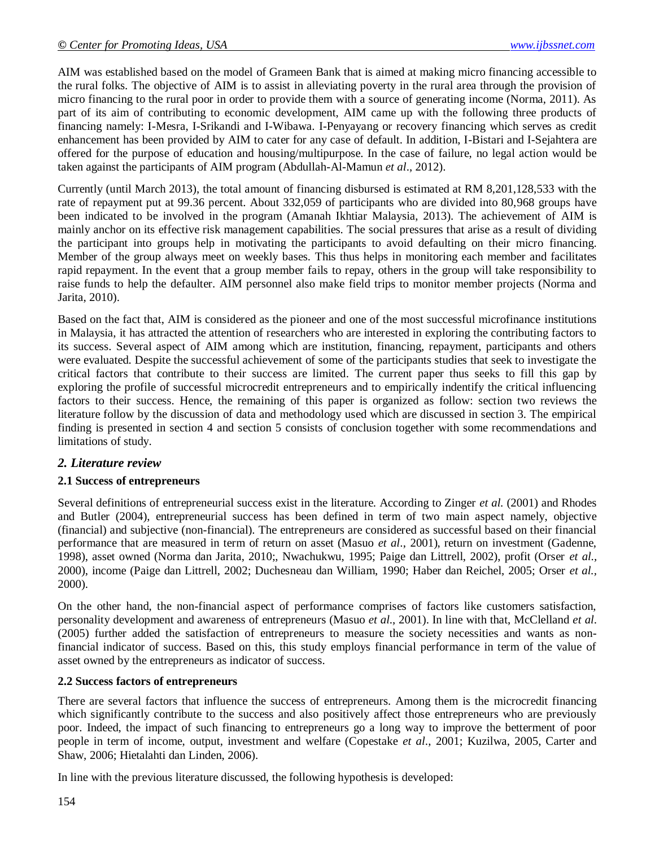AIM was established based on the model of Grameen Bank that is aimed at making micro financing accessible to the rural folks. The objective of AIM is to assist in alleviating poverty in the rural area through the provision of micro financing to the rural poor in order to provide them with a source of generating income (Norma, 2011). As part of its aim of contributing to economic development, AIM came up with the following three products of financing namely: I-Mesra, I-Srikandi and I-Wibawa. I-Penyayang or recovery financing which serves as credit enhancement has been provided by AIM to cater for any case of default. In addition, I-Bistari and I-Sejahtera are offered for the purpose of education and housing/multipurpose. In the case of failure, no legal action would be taken against the participants of AIM program (Abdullah-Al-Mamun *et al*., 2012).

Currently (until March 2013), the total amount of financing disbursed is estimated at RM 8,201,128,533 with the rate of repayment put at 99.36 percent. About 332,059 of participants who are divided into 80,968 groups have been indicated to be involved in the program (Amanah Ikhtiar Malaysia, 2013). The achievement of AIM is mainly anchor on its effective risk management capabilities. The social pressures that arise as a result of dividing the participant into groups help in motivating the participants to avoid defaulting on their micro financing. Member of the group always meet on weekly bases. This thus helps in monitoring each member and facilitates rapid repayment. In the event that a group member fails to repay, others in the group will take responsibility to raise funds to help the defaulter. AIM personnel also make field trips to monitor member projects (Norma and Jarita, 2010).

Based on the fact that, AIM is considered as the pioneer and one of the most successful microfinance institutions in Malaysia, it has attracted the attention of researchers who are interested in exploring the contributing factors to its success. Several aspect of AIM among which are institution, financing, repayment, participants and others were evaluated. Despite the successful achievement of some of the participants studies that seek to investigate the critical factors that contribute to their success are limited. The current paper thus seeks to fill this gap by exploring the profile of successful microcredit entrepreneurs and to empirically indentify the critical influencing factors to their success. Hence, the remaining of this paper is organized as follow: section two reviews the literature follow by the discussion of data and methodology used which are discussed in section 3. The empirical finding is presented in section 4 and section 5 consists of conclusion together with some recommendations and limitations of study.

## *2. Literature review*

## **2.1 Success of entrepreneurs**

Several definitions of entrepreneurial success exist in the literature. According to Zinger *et al.* (2001) and Rhodes and Butler (2004), entrepreneurial success has been defined in term of two main aspect namely, objective (financial) and subjective (non-financial). The entrepreneurs are considered as successful based on their financial performance that are measured in term of return on asset (Masuo *et al*., 2001), return on investment (Gadenne, 1998), asset owned (Norma dan Jarita, 2010;, Nwachukwu, 1995; Paige dan Littrell, 2002), profit (Orser *et al.,*  2000), income (Paige dan Littrell, 2002; Duchesneau dan William, 1990; Haber dan Reichel, 2005; Orser *et al.,* 2000).

On the other hand, the non-financial aspect of performance comprises of factors like customers satisfaction, personality development and awareness of entrepreneurs (Masuo *et al*., 2001). In line with that, McClelland *et al*. (2005) further added the satisfaction of entrepreneurs to measure the society necessities and wants as nonfinancial indicator of success. Based on this, this study employs financial performance in term of the value of asset owned by the entrepreneurs as indicator of success.

#### **2.2 Success factors of entrepreneurs**

There are several factors that influence the success of entrepreneurs. Among them is the microcredit financing which significantly contribute to the success and also positively affect those entrepreneurs who are previously poor. Indeed, the impact of such financing to entrepreneurs go a long way to improve the betterment of poor people in term of income, output, investment and welfare (Copestake *et al*., 2001; Kuzilwa, 2005, Carter and Shaw, 2006; Hietalahti dan Linden, 2006).

In line with the previous literature discussed, the following hypothesis is developed: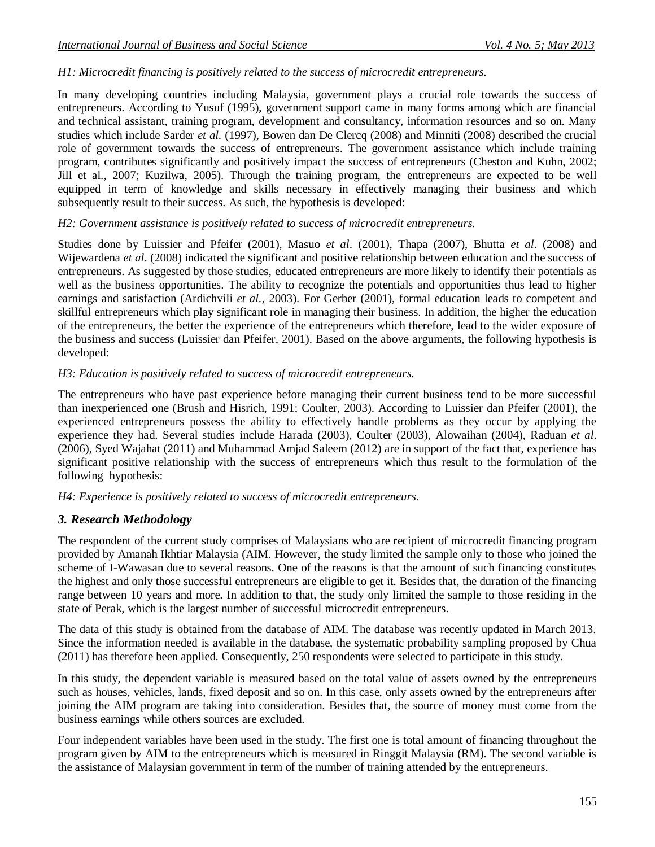### *H1: Microcredit financing is positively related to the success of microcredit entrepreneurs.*

In many developing countries including Malaysia, government plays a crucial role towards the success of entrepreneurs. According to Yusuf (1995), government support came in many forms among which are financial and technical assistant, training program, development and consultancy, information resources and so on. Many studies which include Sarder *et al.* (1997), Bowen dan De Clercq (2008) and Minniti (2008) described the crucial role of government towards the success of entrepreneurs. The government assistance which include training program, contributes significantly and positively impact the success of entrepreneurs (Cheston and Kuhn, 2002; Jill et al., 2007; Kuzilwa, 2005). Through the training program, the entrepreneurs are expected to be well equipped in term of knowledge and skills necessary in effectively managing their business and which subsequently result to their success. As such, the hypothesis is developed:

### *H2: Government assistance is positively related to success of microcredit entrepreneurs.*

Studies done by Luissier and Pfeifer (2001), Masuo *et al*. (2001), Thapa (2007), Bhutta *et al*. (2008) and Wijewardena *et al*. (2008) indicated the significant and positive relationship between education and the success of entrepreneurs. As suggested by those studies, educated entrepreneurs are more likely to identify their potentials as well as the business opportunities. The ability to recognize the potentials and opportunities thus lead to higher earnings and satisfaction (Ardichvili *et al.*, 2003). For Gerber (2001), formal education leads to competent and skillful entrepreneurs which play significant role in managing their business. In addition, the higher the education of the entrepreneurs, the better the experience of the entrepreneurs which therefore, lead to the wider exposure of the business and success (Luissier dan Pfeifer, 2001). Based on the above arguments, the following hypothesis is developed:

### *H3: Education is positively related to success of microcredit entrepreneurs.*

The entrepreneurs who have past experience before managing their current business tend to be more successful than inexperienced one (Brush and Hisrich, 1991; Coulter, 2003). According to Luissier dan Pfeifer (2001), the experienced entrepreneurs possess the ability to effectively handle problems as they occur by applying the experience they had. Several studies include Harada (2003), Coulter (2003), Alowaihan (2004), Raduan *et al*. (2006), Syed Wajahat (2011) and Muhammad Amjad Saleem (2012) are in support of the fact that, experience has significant positive relationship with the success of entrepreneurs which thus result to the formulation of the following hypothesis:

#### *H4: Experience is positively related to success of microcredit entrepreneurs.*

## *3. Research Methodology*

The respondent of the current study comprises of Malaysians who are recipient of microcredit financing program provided by Amanah Ikhtiar Malaysia (AIM. However, the study limited the sample only to those who joined the scheme of I-Wawasan due to several reasons. One of the reasons is that the amount of such financing constitutes the highest and only those successful entrepreneurs are eligible to get it. Besides that, the duration of the financing range between 10 years and more. In addition to that, the study only limited the sample to those residing in the state of Perak, which is the largest number of successful microcredit entrepreneurs.

The data of this study is obtained from the database of AIM. The database was recently updated in March 2013. Since the information needed is available in the database, the systematic probability sampling proposed by Chua (2011) has therefore been applied. Consequently, 250 respondents were selected to participate in this study.

In this study, the dependent variable is measured based on the total value of assets owned by the entrepreneurs such as houses, vehicles, lands, fixed deposit and so on. In this case, only assets owned by the entrepreneurs after joining the AIM program are taking into consideration. Besides that, the source of money must come from the business earnings while others sources are excluded.

Four independent variables have been used in the study. The first one is total amount of financing throughout the program given by AIM to the entrepreneurs which is measured in Ringgit Malaysia (RM). The second variable is the assistance of Malaysian government in term of the number of training attended by the entrepreneurs.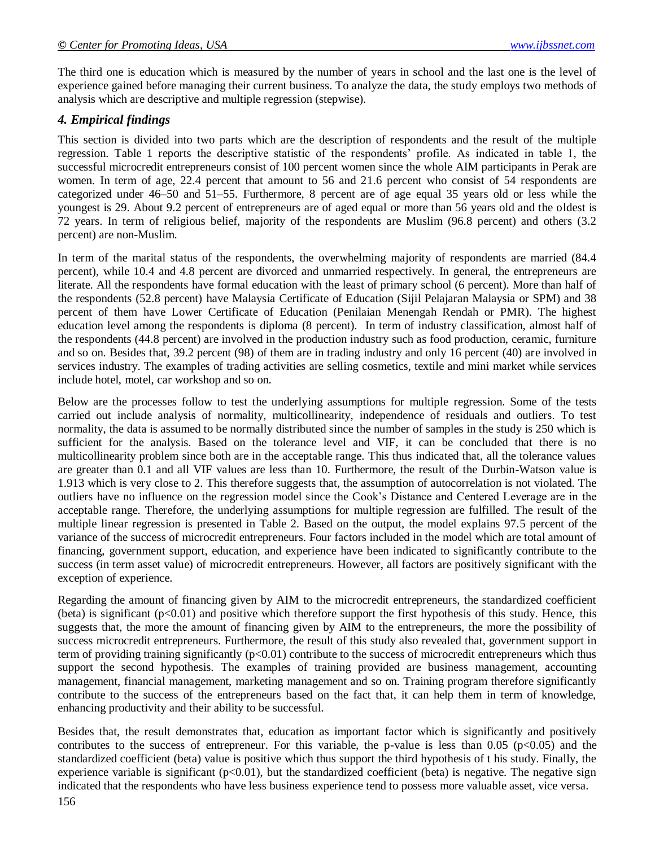The third one is education which is measured by the number of years in school and the last one is the level of experience gained before managing their current business. To analyze the data, the study employs two methods of analysis which are descriptive and multiple regression (stepwise).

## *4. Empirical findings*

This section is divided into two parts which are the description of respondents and the result of the multiple regression. Table 1 reports the descriptive statistic of the respondents' profile. As indicated in table 1, the successful microcredit entrepreneurs consist of 100 percent women since the whole AIM participants in Perak are women. In term of age, 22.4 percent that amount to 56 and 21.6 percent who consist of 54 respondents are categorized under 46–50 and 51–55. Furthermore, 8 percent are of age equal 35 years old or less while the youngest is 29. About 9.2 percent of entrepreneurs are of aged equal or more than 56 years old and the oldest is 72 years. In term of religious belief, majority of the respondents are Muslim (96.8 percent) and others (3.2 percent) are non-Muslim.

In term of the marital status of the respondents, the overwhelming majority of respondents are married (84.4 percent), while 10.4 and 4.8 percent are divorced and unmarried respectively. In general, the entrepreneurs are literate. All the respondents have formal education with the least of primary school (6 percent). More than half of the respondents (52.8 percent) have Malaysia Certificate of Education (Sijil Pelajaran Malaysia or SPM) and 38 percent of them have Lower Certificate of Education (Penilaian Menengah Rendah or PMR). The highest education level among the respondents is diploma (8 percent). In term of industry classification, almost half of the respondents (44.8 percent) are involved in the production industry such as food production, ceramic, furniture and so on. Besides that, 39.2 percent (98) of them are in trading industry and only 16 percent (40) are involved in services industry. The examples of trading activities are selling cosmetics, textile and mini market while services include hotel, motel, car workshop and so on.

Below are the processes follow to test the underlying assumptions for multiple regression. Some of the tests carried out include analysis of normality, multicollinearity, independence of residuals and outliers. To test normality, the data is assumed to be normally distributed since the number of samples in the study is 250 which is sufficient for the analysis. Based on the tolerance level and VIF, it can be concluded that there is no multicollinearity problem since both are in the acceptable range. This thus indicated that, all the tolerance values are greater than 0.1 and all VIF values are less than 10. Furthermore, the result of the Durbin-Watson value is 1.913 which is very close to 2. This therefore suggests that, the assumption of autocorrelation is not violated. The outliers have no influence on the regression model since the Cook's Distance and Centered Leverage are in the acceptable range. Therefore, the underlying assumptions for multiple regression are fulfilled. The result of the multiple linear regression is presented in Table 2. Based on the output, the model explains 97.5 percent of the variance of the success of microcredit entrepreneurs. Four factors included in the model which are total amount of financing, government support, education, and experience have been indicated to significantly contribute to the success (in term asset value) of microcredit entrepreneurs. However, all factors are positively significant with the exception of experience.

Regarding the amount of financing given by AIM to the microcredit entrepreneurs, the standardized coefficient (beta) is significant  $(p<0.01)$  and positive which therefore support the first hypothesis of this study. Hence, this suggests that, the more the amount of financing given by AIM to the entrepreneurs, the more the possibility of success microcredit entrepreneurs. Furthermore, the result of this study also revealed that, government support in term of providing training significantly  $(p<0.01)$  contribute to the success of microcredit entrepreneurs which thus support the second hypothesis. The examples of training provided are business management, accounting management, financial management, marketing management and so on. Training program therefore significantly contribute to the success of the entrepreneurs based on the fact that, it can help them in term of knowledge, enhancing productivity and their ability to be successful.

Besides that, the result demonstrates that, education as important factor which is significantly and positively contributes to the success of entrepreneur. For this variable, the p-value is less than  $0.05$  (p $<0.05$ ) and the standardized coefficient (beta) value is positive which thus support the third hypothesis of t his study. Finally, the experience variable is significant ( $p<0.01$ ), but the standardized coefficient (beta) is negative. The negative sign indicated that the respondents who have less business experience tend to possess more valuable asset, vice versa.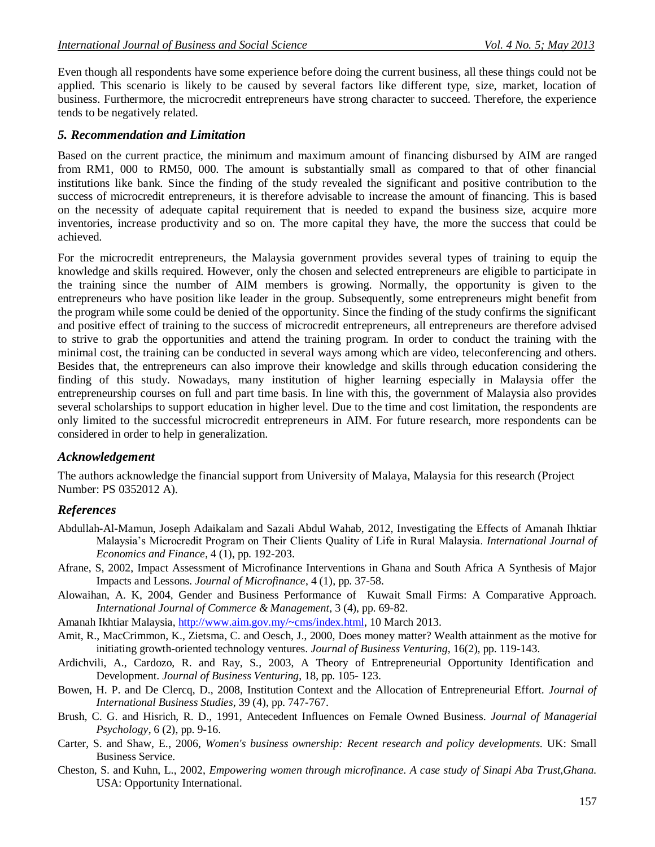Even though all respondents have some experience before doing the current business, all these things could not be applied. This scenario is likely to be caused by several factors like different type, size, market, location of business. Furthermore, the microcredit entrepreneurs have strong character to succeed. Therefore, the experience tends to be negatively related.

#### *5. Recommendation and Limitation*

Based on the current practice, the minimum and maximum amount of financing disbursed by AIM are ranged from RM1, 000 to RM50, 000. The amount is substantially small as compared to that of other financial institutions like bank. Since the finding of the study revealed the significant and positive contribution to the success of microcredit entrepreneurs, it is therefore advisable to increase the amount of financing. This is based on the necessity of adequate capital requirement that is needed to expand the business size, acquire more inventories, increase productivity and so on. The more capital they have, the more the success that could be achieved.

For the microcredit entrepreneurs, the Malaysia government provides several types of training to equip the knowledge and skills required. However, only the chosen and selected entrepreneurs are eligible to participate in the training since the number of AIM members is growing. Normally, the opportunity is given to the entrepreneurs who have position like leader in the group. Subsequently, some entrepreneurs might benefit from the program while some could be denied of the opportunity. Since the finding of the study confirms the significant and positive effect of training to the success of microcredit entrepreneurs, all entrepreneurs are therefore advised to strive to grab the opportunities and attend the training program. In order to conduct the training with the minimal cost, the training can be conducted in several ways among which are video, teleconferencing and others. Besides that, the entrepreneurs can also improve their knowledge and skills through education considering the finding of this study. Nowadays, many institution of higher learning especially in Malaysia offer the entrepreneurship courses on full and part time basis. In line with this, the government of Malaysia also provides several scholarships to support education in higher level. Due to the time and cost limitation, the respondents are only limited to the successful microcredit entrepreneurs in AIM. For future research, more respondents can be considered in order to help in generalization.

#### *Acknowledgement*

The authors acknowledge the financial support from University of Malaya, Malaysia for this research (Project Number: PS 0352012 A).

#### *References*

- Abdullah-Al-Mamun, Joseph Adaikalam and Sazali Abdul Wahab, 2012, Investigating the Effects of Amanah Ihktiar Malaysia's Microcredit Program on Their Clients Quality of Life in Rural Malaysia. *International Journal of Economics and Finance*, 4 (1), pp. 192-203.
- Afrane, S, 2002, Impact Assessment of Microfinance Interventions in Ghana and South Africa A Synthesis of Major Impacts and Lessons. *Journal of Microfinance*, 4 (1), pp. 37-58.
- Alowaihan, A. K, 2004, Gender and Business Performance of Kuwait Small Firms: A Comparative Approach. *International Journal of Commerce & Management*, 3 (4), pp. 69-82.
- Amanah Ikhtiar Malaysia[, http://www.aim.gov.my/~cms/index.html,](http://www.aim.gov.my/~cms/index.html) 10 March 2013.
- Amit, R., MacCrimmon, K., Zietsma, C. and Oesch, J., 2000, Does money matter? Wealth attainment as the motive for initiating growth-oriented technology ventures. *Journal of Business Venturing*, 16(2), pp. 119-143.
- Ardichvili, A., Cardozo, R. and Ray, S., 2003, A Theory of Entrepreneurial Opportunity Identification and Development. *Journal of Business Venturing*, 18, pp. 105- 123.
- Bowen, H. P. and De Clercq, D., 2008, Institution Context and the Allocation of Entrepreneurial Effort. *Journal of International Business Studies*, 39 (4), pp. 747-767.
- Brush, C. G. and Hisrich, R. D., 1991, Antecedent Influences on Female Owned Business. *Journal of Managerial Psychology*, 6 (2), pp. 9-16.
- Carter, S. and Shaw, E., 2006, *Women's business ownership: Recent research and policy developments.* UK: Small Business Service.
- Cheston, S. and Kuhn, L., 2002, *Empowering women through microfinance. A case study of Sinapi Aba Trust,Ghana.*  USA: Opportunity International.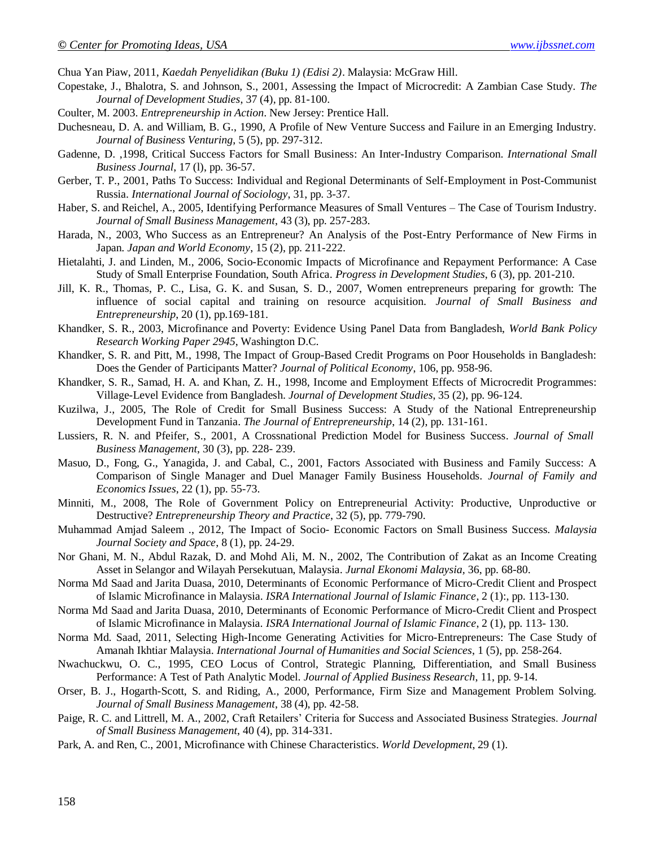Chua Yan Piaw, 2011, *Kaedah Penyelidikan (Buku 1) (Edisi 2)*. Malaysia: McGraw Hill.

- Copestake, J., Bhalotra, S. and Johnson, S., 2001, Assessing the Impact of Microcredit: A Zambian Case Study. *The Journal of Development Studies*, 37 (4), pp. 81-100.
- Coulter, M. 2003. *Entrepreneurship in Action*. New Jersey: Prentice Hall.
- Duchesneau, D. A. and William, B. G., 1990, A Profile of New Venture Success and Failure in an Emerging Industry. *Journal of Business Venturing*, 5 (5), pp. 297-312.
- Gadenne, D. ,1998, Critical Success Factors for Small Business: An Inter-Industry Comparison. *International Small Business Journal*, 17 (l), pp. 36-57.
- Gerber, T. P., 2001, Paths To Success: Individual and Regional Determinants of Self-Employment in Post-Communist Russia. *International Journal of Sociology*, 31, pp. 3-37.
- Haber, S. and Reichel, A., 2005, Identifying Performance Measures of Small Ventures The Case of Tourism Industry. *Journal of Small Business Management*, 43 (3), pp. 257-283.
- Harada, N., 2003, Who Success as an Entrepreneur? An Analysis of the Post-Entry Performance of New Firms in Japan. *Japan and World Economy*, 15 (2), pp. 211-222.
- Hietalahti, J. and Linden, M., 2006, Socio-Economic Impacts of Microfinance and Repayment Performance: A Case Study of Small Enterprise Foundation, South Africa. *Progress in Development Studies*, 6 (3), pp. 201-210.
- Jill, K. R., Thomas, P. C., Lisa, G. K. and Susan, S. D., 2007, Women entrepreneurs preparing for growth: The influence of social capital and training on resource acquisition. *Journal of Small Business and Entrepreneurship*, 20 (1), pp.169-181.
- Khandker, S. R., 2003, Microfinance and Poverty: Evidence Using Panel Data from Bangladesh, *World Bank Policy Research Working Paper 2945*, Washington D.C.
- Khandker, S. R. and Pitt, M., 1998, The Impact of Group-Based Credit Programs on Poor Households in Bangladesh: Does the Gender of Participants Matter? *Journal of Political Economy*, 106, pp. 958-96.
- Khandker, S. R., Samad, H. A. and Khan, Z. H., 1998, Income and Employment Effects of Microcredit Programmes: Village-Level Evidence from Bangladesh. *Journal of Development Studies*, 35 (2), pp. 96-124.
- Kuzilwa, J., 2005, The Role of Credit for Small Business Success: A Study of the National Entrepreneurship Development Fund in Tanzania. *The Journal of Entrepreneurship*, 14 (2), pp. 131-161.
- Lussiers, R. N. and Pfeifer, S., 2001, A Crossnational Prediction Model for Business Success. *Journal of Small Business Management*, 30 (3), pp. 228- 239.
- Masuo, D., Fong, G., Yanagida, J. and Cabal, C., 2001, Factors Associated with Business and Family Success: A Comparison of Single Manager and Duel Manager Family Business Households. *Journal of Family and Economics Issues*, 22 (1), pp. 55-73.
- Minniti, M., 2008, The Role of Government Policy on Entrepreneurial Activity: Productive, Unproductive or Destructive? *Entrepreneurship Theory and Practice*, 32 (5), pp. 779-790.
- Muhammad Amjad Saleem ., 2012, The Impact of Socio- Economic Factors on Small Business Success. *Malaysia Journal Society and Space*, 8 (1), pp. 24-29.
- Nor Ghani, M. N., Abdul Razak, D. and Mohd Ali, M. N., 2002, The Contribution of Zakat as an Income Creating Asset in Selangor and Wilayah Persekutuan, Malaysia. *Jurnal Ekonomi Malaysia,* 36, pp. 68-80.
- Norma Md Saad and Jarita Duasa, 2010, Determinants of Economic Performance of Micro-Credit Client and Prospect of Islamic Microfinance in Malaysia. *ISRA International Journal of Islamic Finance*, 2 (1):, pp. 113-130.
- Norma Md Saad and Jarita Duasa, 2010, Determinants of Economic Performance of Micro-Credit Client and Prospect of Islamic Microfinance in Malaysia. *ISRA International Journal of Islamic Finance*, 2 (1), pp. 113- 130.
- Norma Md. Saad, 2011, Selecting High-Income Generating Activities for Micro-Entrepreneurs: The Case Study of Amanah Ikhtiar Malaysia. *International Journal of Humanities and Social Sciences*, 1 (5), pp. 258-264.
- Nwachuckwu, O. C., 1995, CEO Locus of Control, Strategic Planning, Differentiation, and Small Business Performance: A Test of Path Analytic Model. *Journal of Applied Business Research*, 11, pp. 9-14.
- Orser, B. J., Hogarth-Scott, S. and Riding, A., 2000, Performance, Firm Size and Management Problem Solving. *Journal of Small Business Management*, 38 (4), pp. 42-58.
- Paige, R. C. and Littrell, M. A., 2002, Craft Retailers' Criteria for Success and Associated Business Strategies. *Journal of Small Business Management*, 40 (4), pp. 314-331.
- Park, A. and Ren, C., 2001, Microfinance with Chinese Characteristics. *World Development*, 29 (1).